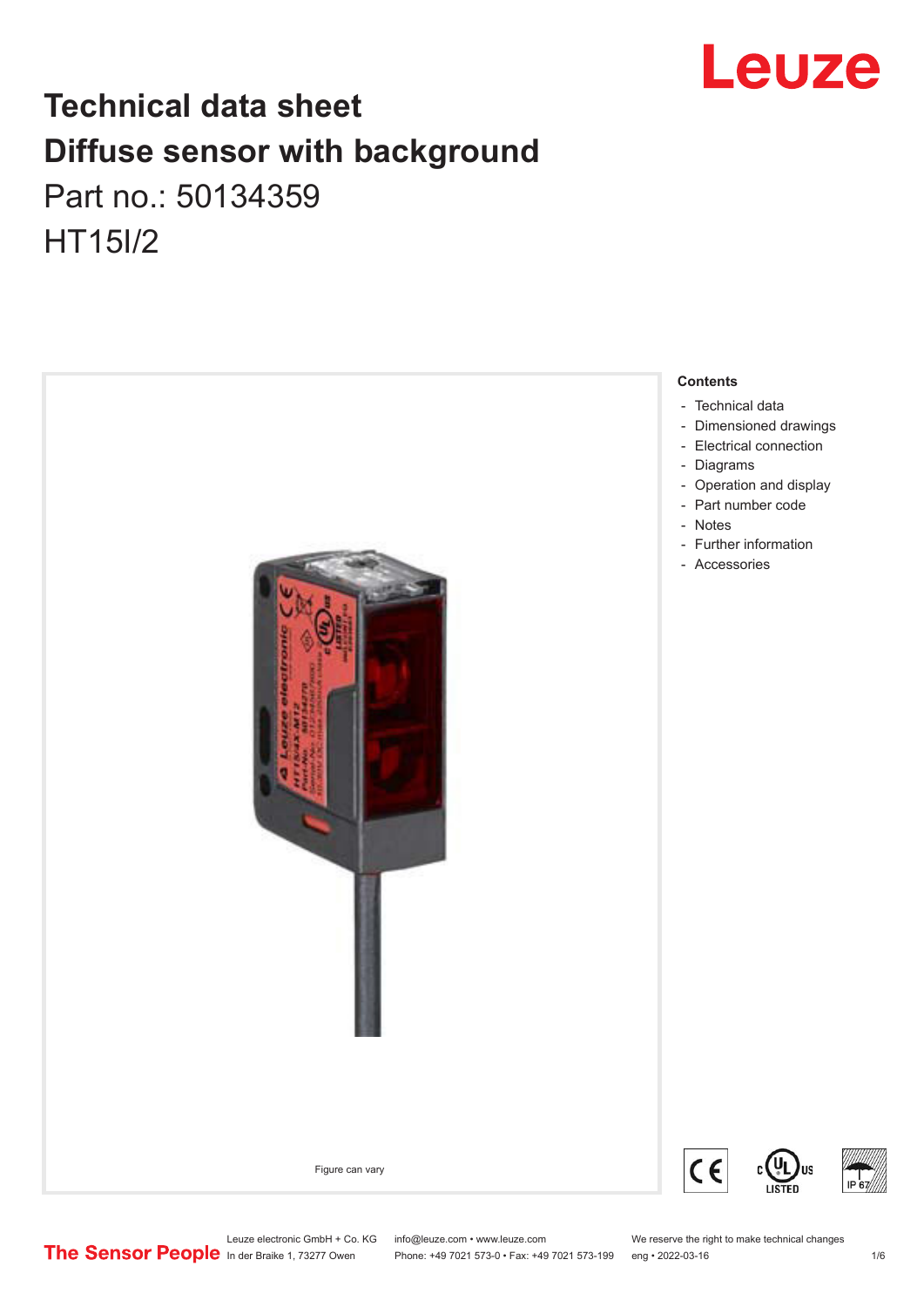

# **Technical data sheet Diffuse sensor with background**  Part no.: 50134359 HT15I/2



Leuze electronic GmbH + Co. KG info@leuze.com • www.leuze.com We reserve the right to make technical changes<br>
The Sensor People in der Braike 1, 73277 Owen Phone: +49 7021 573-0 • Fax: +49 7021 573-199 eng • 2022-03-16

Phone: +49 7021 573-0 • Fax: +49 7021 573-199 eng • 2022-03-16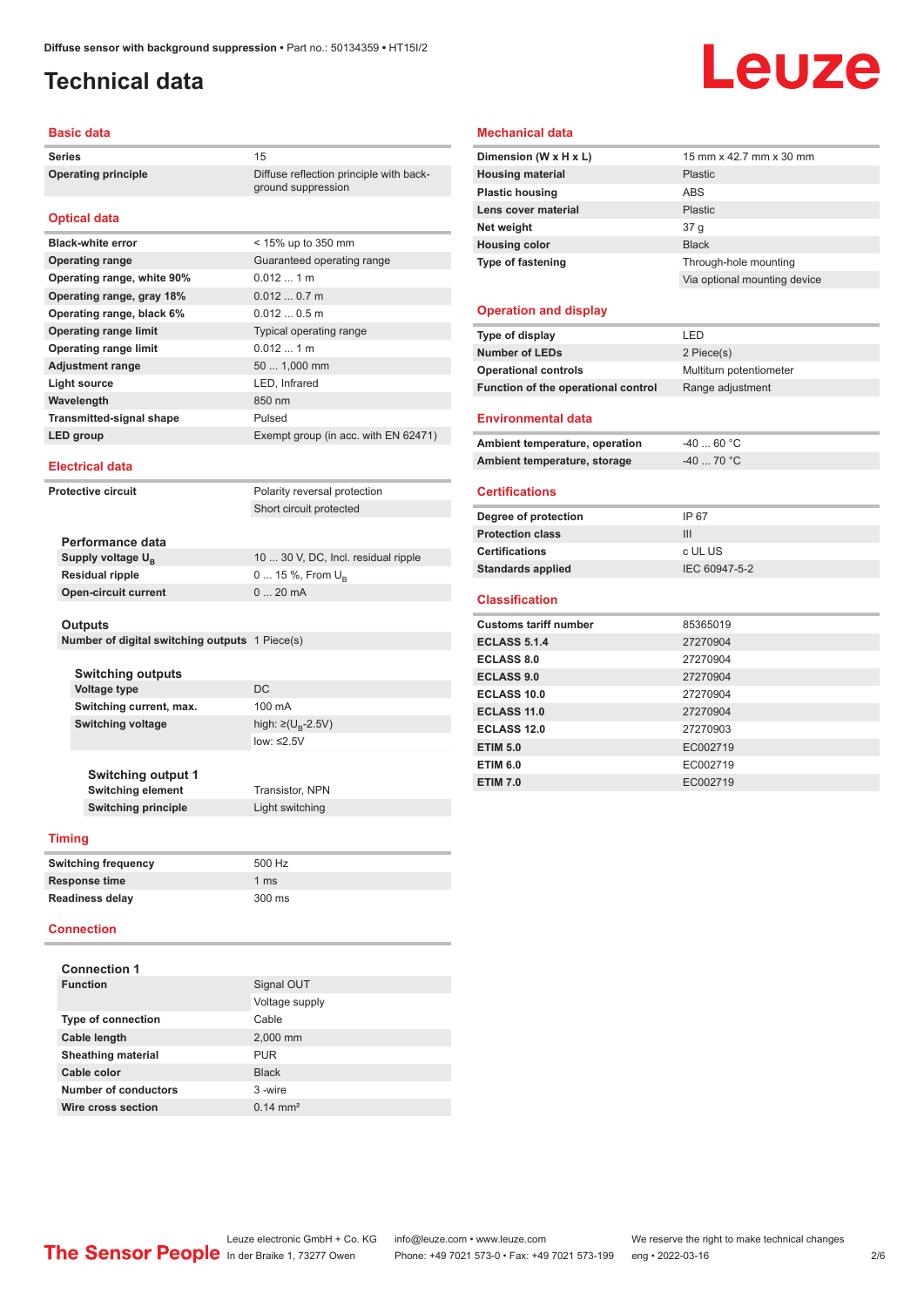## <span id="page-1-0"></span>**Technical data**

# Leuze

#### **Basic data**

Series 15 **Operating principle** Diffuse reflection principle with back-

#### **Optical data**

| <b>Black-white error</b>        | $<$ 15% up to 350 mm                 |
|---------------------------------|--------------------------------------|
| <b>Operating range</b>          | Guaranteed operating range           |
| Operating range, white 90%      | $0.012$ 1 m                          |
| Operating range, gray 18%       | $0.0120.7$ m                         |
| Operating range, black 6%       | $0.0120.5$ m                         |
| <b>Operating range limit</b>    | <b>Typical operating range</b>       |
| <b>Operating range limit</b>    | $0.012$ 1 m                          |
| <b>Adjustment range</b>         | 50  1,000 mm                         |
| Light source                    | LED, Infrared                        |
| Wavelength                      | 850 nm                               |
| <b>Transmitted-signal shape</b> | Pulsed                               |
| LED group                       | Exempt group (in acc. with EN 62471) |

ground suppression

#### **Electrical data**

**Protective circuit** Polarity reversal protection Short circuit protected

| Performance data              |                                     |
|-------------------------------|-------------------------------------|
| Supply voltage U <sub>p</sub> | 10  30 V, DC, Incl. residual ripple |
| <b>Residual ripple</b>        | $0 15 \%$ , From $U_{p}$            |
| <b>Open-circuit current</b>   | $020$ mA                            |
|                               |                                     |

#### **Outputs**

**Number of digital switching outputs** 1 Piece(s)

| <b>Switching outputs</b><br><b>Voltage type</b><br>Switching current, max. | DC.<br>100 mA                                           |
|----------------------------------------------------------------------------|---------------------------------------------------------|
| <b>Switching voltage</b>                                                   | high: $\geq$ (U <sub>R</sub> -2.5V)<br>$low: \leq 2.5V$ |
| <b>Switching output 1</b><br><b>Switching element</b>                      | <b>Transistor, NPN</b>                                  |
| <b>Switching principle</b>                                                 | Light switching                                         |

#### **Timing**

| 500 Hz        |
|---------------|
| 1 $\text{ms}$ |
| 300 ms        |
|               |

#### **Connection**

| <b>Connection 1</b>       |                     |
|---------------------------|---------------------|
| <b>Function</b>           | Signal OUT          |
|                           | Voltage supply      |
| <b>Type of connection</b> | Cable               |
| Cable length              | 2.000 mm            |
| <b>Sheathing material</b> | <b>PUR</b>          |
| Cable color               | <b>Black</b>        |
| Number of conductors      | 3-wire              |
| Wire cross section        | $0.14 \text{ mm}^2$ |

#### **Mechanical data**

| Dimension (W x H x L)    | 15 mm x 42.7 mm x 30 mm      |  |
|--------------------------|------------------------------|--|
| <b>Housing material</b>  | Plastic                      |  |
| <b>Plastic housing</b>   | ABS                          |  |
| Lens cover material      | Plastic                      |  |
| Net weight               | 37 q                         |  |
| <b>Housing color</b>     | <b>Black</b>                 |  |
| <b>Type of fastening</b> | Through-hole mounting        |  |
|                          | Via optional mounting device |  |
| .                        |                              |  |

#### **Operation and display**

| Type of display                     | LED                     |
|-------------------------------------|-------------------------|
| <b>Number of LEDs</b>               | 2 Piece(s)              |
| <b>Operational controls</b>         | Multiturn potentiometer |
| Function of the operational control | Range adjustment        |
|                                     |                         |
| <b>Environmental data</b>           |                         |
| Ambient temperature, operation      | $-4060 °C$              |
| Ambient temperature, storage        | $-4070 °C$              |
|                                     |                         |
| <b>Certifications</b>               |                         |
| Degree of protection                | IP 67                   |
| <b>Protection class</b>             | III                     |
| <b>Certifications</b>               | c UL US                 |
| <b>Standards applied</b>            | IEC 60947-5-2           |
|                                     |                         |
| <b>Classification</b>               |                         |
| <b>Customs tariff number</b>        | 85365019                |
| <b>ECLASS 5.1.4</b>                 | 27270904                |
| <b>ECLASS 8.0</b>                   | 27270904                |
| <b>ECLASS 9.0</b>                   | 27270904                |
| ECLASS 10.0                         | 27270904                |
| ECLASS 11.0                         | 27270904                |
| <b>ECLASS 12.0</b>                  | 27270903                |
| <b>ETIM 5.0</b>                     | EC002719                |
| <b>ETIM 6.0</b>                     | EC002719                |
| <b>ETIM 7.0</b>                     | EC002719                |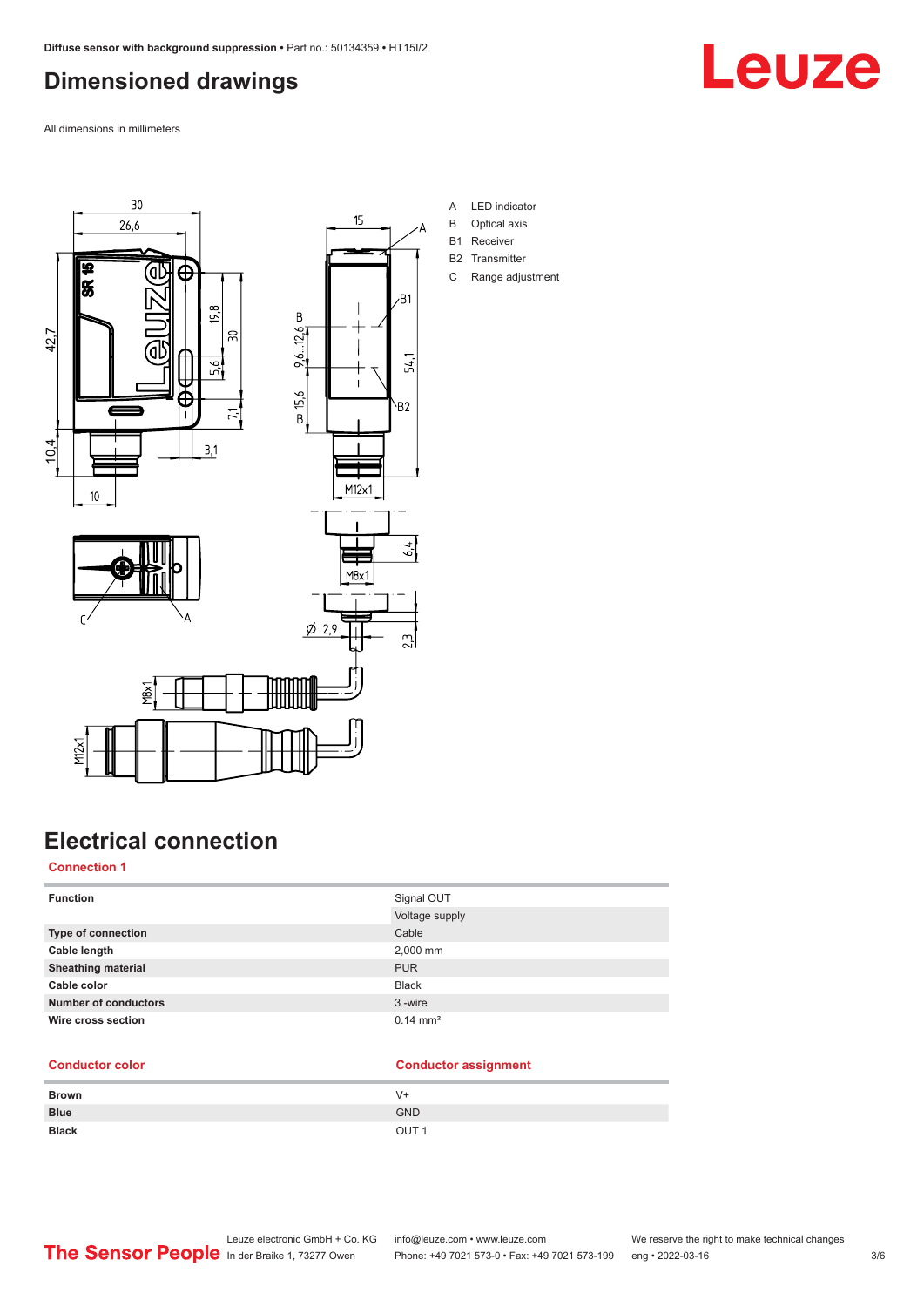## <span id="page-2-0"></span>**Dimensioned drawings**

All dimensions in millimeters





YBX



- A LED indicator
- B Optical axis
- B1 Receiver
- B2 Transmitter
- C Range adjustment

## **Electrical connection**

#### **Connection 1**

M<sub>2</sub>x1

| <b>Function</b>             | Signal OUT            |
|-----------------------------|-----------------------|
|                             | Voltage supply        |
| <b>Type of connection</b>   | Cable                 |
| Cable length                | 2,000 mm              |
| <b>Sheathing material</b>   | <b>PUR</b>            |
| Cable color                 | <b>Black</b>          |
| <b>Number of conductors</b> | 3-wire                |
| Wire cross section          | $0.14 \, \text{mm}^2$ |

#### **Conductor color Conductor assignment**

| <b>Brown</b> | V+               |
|--------------|------------------|
| <b>Blue</b>  | <b>GND</b>       |
| <b>Black</b> | OUT <sub>1</sub> |

Leuze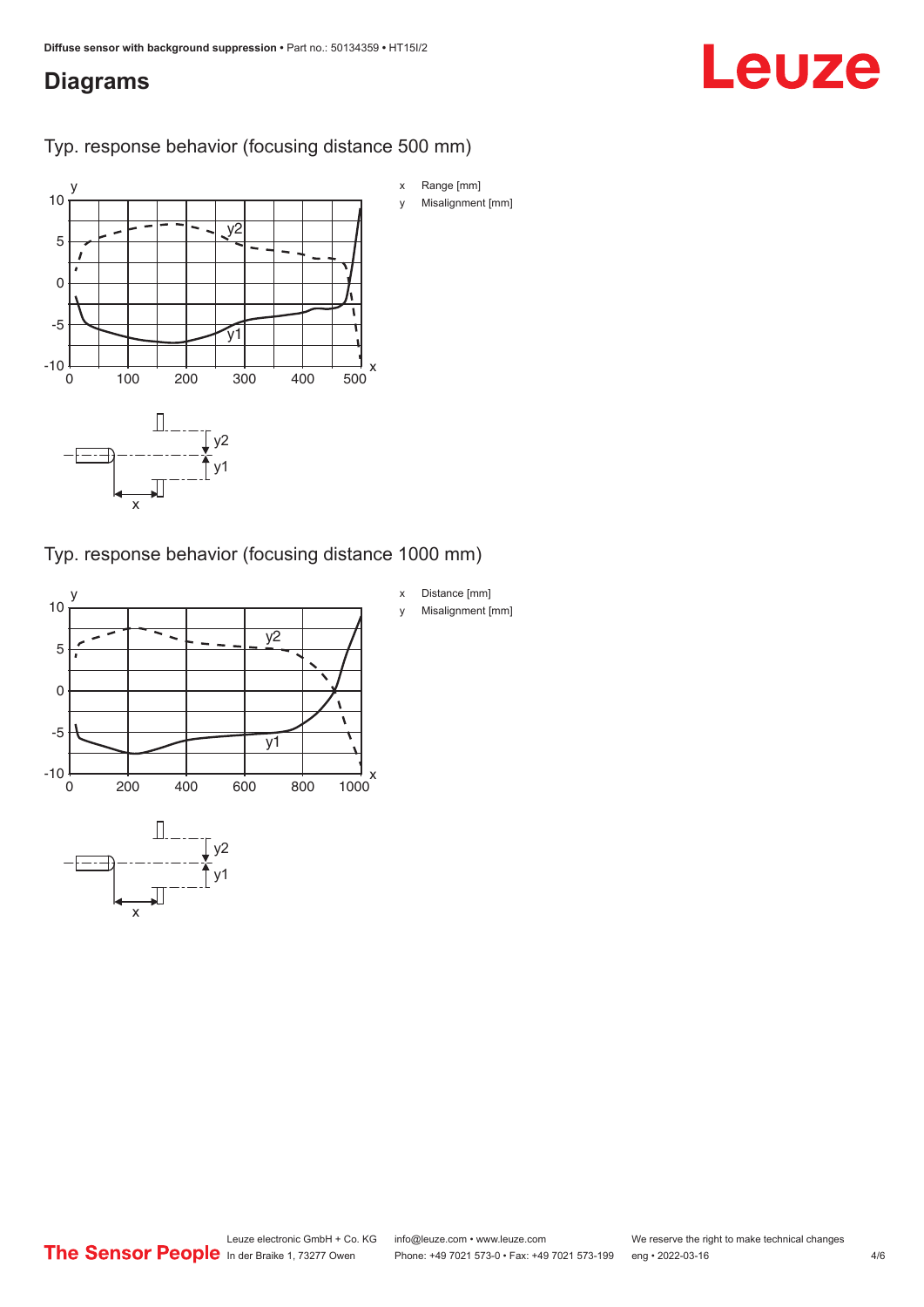## <span id="page-3-0"></span>**Diagrams**

# Leuze

#### Typ. response behavior (focusing distance 500 mm)



#### Typ. response behavior (focusing distance 1000 mm)

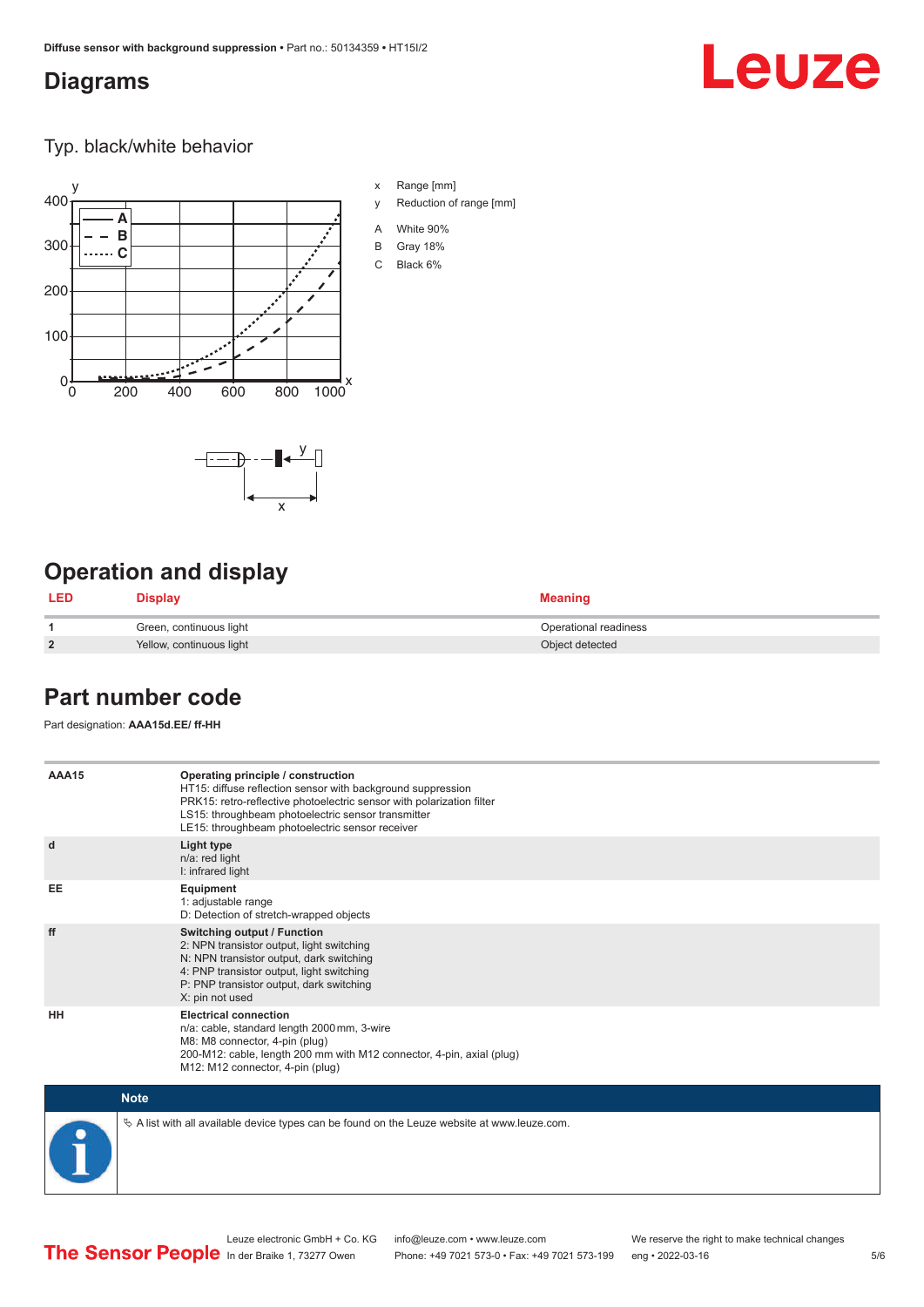## <span id="page-4-0"></span>**Diagrams**

# Leuze

Typ. black/white behavior



x

 $-\overline{...}$   $-\overline{...}$   $-\overline{...}$ 

x Range [mm]

- y Reduction of range [mm]
- A White 90%
- B Gray 18%
- C Black 6%

## **Operation and display**

| <b>LED</b>     | <b>Display</b>           | <b>Meaning</b>        |
|----------------|--------------------------|-----------------------|
|                | Green, continuous light  | Operational readiness |
| $\overline{2}$ | Yellow, continuous light | Object detected       |

### **Part number code**

Part designation: **AAA15d.EE/ ff-HH**

| AAA15       | Operating principle / construction<br>HT15: diffuse reflection sensor with background suppression<br>PRK15: retro-reflective photoelectric sensor with polarization filter<br>LS15: throughbeam photoelectric sensor transmitter<br>LE15: throughbeam photoelectric sensor receiver |
|-------------|-------------------------------------------------------------------------------------------------------------------------------------------------------------------------------------------------------------------------------------------------------------------------------------|
| d           | Light type<br>n/a: red light<br>I: infrared light                                                                                                                                                                                                                                   |
| EE          | Equipment<br>1: adjustable range<br>D: Detection of stretch-wrapped objects                                                                                                                                                                                                         |
| ff          | Switching output / Function<br>2: NPN transistor output, light switching<br>N: NPN transistor output, dark switching<br>4: PNP transistor output, light switching<br>P: PNP transistor output, dark switching<br>X: pin not used                                                    |
| HH          | <b>Electrical connection</b><br>n/a: cable, standard length 2000 mm, 3-wire<br>M8: M8 connector, 4-pin (plug)<br>200-M12: cable, length 200 mm with M12 connector, 4-pin, axial (plug)<br>M12: M12 connector, 4-pin (plug)                                                          |
| <b>Note</b> |                                                                                                                                                                                                                                                                                     |

 $\%$  A list with all available device types can be found on the Leuze website at www.leuze.com.

Phone: +49 7021 573-0 • Fax: +49 7021 573-199 eng • 2022-03-16